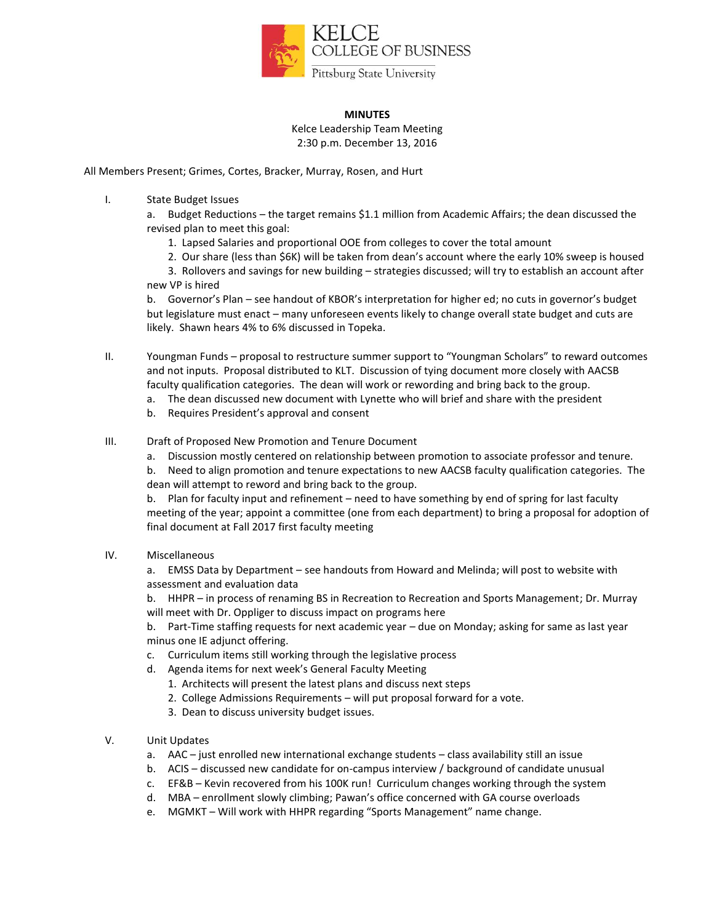

## **MINUTES**

Kelce Leadership Team Meeting 2:30 p.m. December 13, 2016

All Members Present; Grimes, Cortes, Bracker, Murray, Rosen, and Hurt

I. State Budget Issues

a. Budget Reductions – the target remains \$1.1 million from Academic Affairs; the dean discussed the revised plan to meet this goal:

- 1. Lapsed Salaries and proportional OOE from colleges to cover the total amount
- 2. Our share (less than \$6K) will be taken from dean's account where the early 10% sweep is housed

3. Rollovers and savings for new building – strategies discussed; will try to establish an account after new VP is hired

b. Governor's Plan – see handout of KBOR's interpretation for higher ed; no cuts in governor's budget but legislature must enact – many unforeseen events likely to change overall state budget and cuts are likely. Shawn hears 4% to 6% discussed in Topeka.

II. Youngman Funds – proposal to restructure summer support to "Youngman Scholars" to reward outcomes and not inputs. Proposal distributed to KLT. Discussion of tying document more closely with AACSB faculty qualification categories. The dean will work or rewording and bring back to the group.

- a. The dean discussed new document with Lynette who will brief and share with the president
- b. Requires President's approval and consent
- III. Draft of Proposed New Promotion and Tenure Document
	- a. Discussion mostly centered on relationship between promotion to associate professor and tenure.

b. Need to align promotion and tenure expectations to new AACSB faculty qualification categories. The dean will attempt to reword and bring back to the group.

b. Plan for faculty input and refinement – need to have something by end of spring for last faculty meeting of the year; appoint a committee (one from each department) to bring a proposal for adoption of final document at Fall 2017 first faculty meeting

IV. Miscellaneous

a. EMSS Data by Department – see handouts from Howard and Melinda; will post to website with assessment and evaluation data

b. HHPR – in process of renaming BS in Recreation to Recreation and Sports Management; Dr. Murray will meet with Dr. Oppliger to discuss impact on programs here

b. Part-Time staffing requests for next academic year – due on Monday; asking for same as last year minus one IE adjunct offering.

- c. Curriculum items still working through the legislative process
- d. Agenda items for next week's General Faculty Meeting
	- 1. Architects will present the latest plans and discuss next steps
	- 2. College Admissions Requirements will put proposal forward for a vote.
	- 3. Dean to discuss university budget issues.
- V. Unit Updates
	- a. AAC just enrolled new international exchange students class availability still an issue
	- b. ACIS discussed new candidate for on-campus interview / background of candidate unusual
	- c. EF&B Kevin recovered from his 100K run! Curriculum changes working through the system
	- d. MBA enrollment slowly climbing; Pawan's office concerned with GA course overloads
	- e. MGMKT Will work with HHPR regarding "Sports Management" name change.